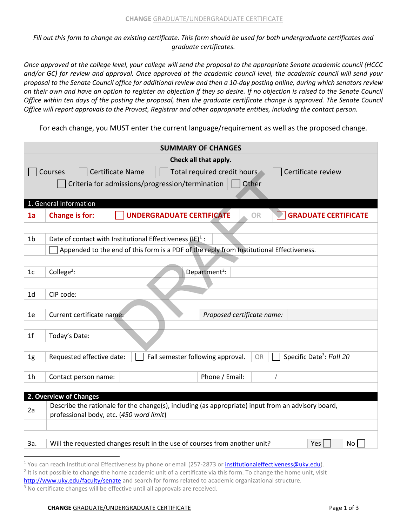*Fill out this form to change an existing certificate. This form should be used for both undergraduate certificates and graduate certificates.* 

*Once approved at the college level, your college will send the proposal to the appropriate Senate academic council (HCCC and/or GC) for review and approval. Once approved at the academic council level, the academic council will send your proposal to the Senate Council office for additional review and then a 10-day posting online, during which senators review on their own and have an option to register an objection if they so desire. If no objection is raised to the Senate Council Office within ten days of the posting the proposal, then the graduate certificate change is approved. The Senate Council Office will report approvals to the Provost, Registrar and other appropriate entities, including the contact person.* 

For each change, you MUST enter the current language/requirement as well as the proposed change.

| <b>SUMMARY OF CHANGES</b>                                                        |                                                                                                                                                         |  |  |  |  |  |  |
|----------------------------------------------------------------------------------|---------------------------------------------------------------------------------------------------------------------------------------------------------|--|--|--|--|--|--|
| Check all that apply.                                                            |                                                                                                                                                         |  |  |  |  |  |  |
| Courses<br>Certificate Name<br>Certificate review<br>Total required credit hours |                                                                                                                                                         |  |  |  |  |  |  |
|                                                                                  | Criteria for admissions/progression/termination<br>Other                                                                                                |  |  |  |  |  |  |
|                                                                                  |                                                                                                                                                         |  |  |  |  |  |  |
|                                                                                  | 1. General Information                                                                                                                                  |  |  |  |  |  |  |
| 1a                                                                               | <b>UNDERGRADUATE CERTIFICATE</b><br><b>GRADUATE CERTIFICATE</b><br><b>Change is for:</b><br><b>OR</b>                                                   |  |  |  |  |  |  |
|                                                                                  |                                                                                                                                                         |  |  |  |  |  |  |
| 1 <sub>b</sub>                                                                   | Date of contact with Institutional Effectiveness $(IE)^1$ :<br>Appended to the end of this form is a PDF of the reply from Institutional Effectiveness. |  |  |  |  |  |  |
|                                                                                  |                                                                                                                                                         |  |  |  |  |  |  |
| 1c                                                                               | Department <sup>2</sup> :<br>College <sup>2</sup> :                                                                                                     |  |  |  |  |  |  |
|                                                                                  |                                                                                                                                                         |  |  |  |  |  |  |
| 1 <sub>d</sub>                                                                   | CIP code:                                                                                                                                               |  |  |  |  |  |  |
|                                                                                  |                                                                                                                                                         |  |  |  |  |  |  |
| 1e                                                                               | Current certificate name:<br>Proposed certificate name:                                                                                                 |  |  |  |  |  |  |
|                                                                                  |                                                                                                                                                         |  |  |  |  |  |  |
| 1 <sub>f</sub>                                                                   | Today's Date:                                                                                                                                           |  |  |  |  |  |  |
| 1 <sub>g</sub>                                                                   | Specific Date <sup>3</sup> : Fall 20<br>Fall semester following approval.<br>Requested effective date:<br>OR                                            |  |  |  |  |  |  |
|                                                                                  |                                                                                                                                                         |  |  |  |  |  |  |
| 1 <sub>h</sub>                                                                   | Phone / Email:<br>Contact person name:                                                                                                                  |  |  |  |  |  |  |
|                                                                                  |                                                                                                                                                         |  |  |  |  |  |  |
|                                                                                  | 2. Overview of Changes<br>Describe the rationale for the change(s), including (as appropriate) input from an advisory board,                            |  |  |  |  |  |  |
| 2a                                                                               | professional body, etc. (450 word limit)                                                                                                                |  |  |  |  |  |  |
|                                                                                  |                                                                                                                                                         |  |  |  |  |  |  |
|                                                                                  |                                                                                                                                                         |  |  |  |  |  |  |
| За.                                                                              | Will the requested changes result in the use of courses from another unit?<br>Yes<br>No                                                                 |  |  |  |  |  |  |
|                                                                                  |                                                                                                                                                         |  |  |  |  |  |  |

## **CHANGE** GRADUATE/UNDERGRADUATE CERTIFICATE **Page 1 of 3** Page 1 of 3

<sup>&</sup>lt;sup>1</sup> You can reach Institutional Effectiveness by phone or email (257-2873 or <u>institutionaleffectiveness@uky.edu</u>).

 $2$  It is not possible to change the home academic unit of a certificate via this form. To change the home unit, visit [http://www.uky.edu/faculty/senate a](http://www.uky.edu/faculty/senate)nd search for forms related to academic organizational structure.

<sup>&</sup>lt;sup>3</sup> No certificate changes will be effective until all approvals are received.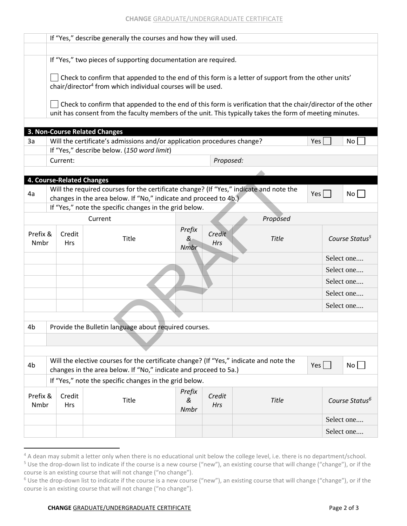|                                                                                                                                                                                         | If "Yes," describe generally the courses and how they will used.                                                                                                      |                           |                                                                                        |                     |                      |              |     |                            |  |  |  |
|-----------------------------------------------------------------------------------------------------------------------------------------------------------------------------------------|-----------------------------------------------------------------------------------------------------------------------------------------------------------------------|---------------------------|----------------------------------------------------------------------------------------|---------------------|----------------------|--------------|-----|----------------------------|--|--|--|
|                                                                                                                                                                                         |                                                                                                                                                                       |                           |                                                                                        |                     |                      |              |     |                            |  |  |  |
|                                                                                                                                                                                         | If "Yes," two pieces of supporting documentation are required.<br>Check to confirm that appended to the end of this form is a letter of support from the other units' |                           |                                                                                        |                     |                      |              |     |                            |  |  |  |
|                                                                                                                                                                                         |                                                                                                                                                                       |                           |                                                                                        |                     |                      |              |     |                            |  |  |  |
|                                                                                                                                                                                         | chair/director <sup>4</sup> from which individual courses will be used.                                                                                               |                           |                                                                                        |                     |                      |              |     |                            |  |  |  |
|                                                                                                                                                                                         | Check to confirm that appended to the end of this form is verification that the chair/director of the other                                                           |                           |                                                                                        |                     |                      |              |     |                            |  |  |  |
|                                                                                                                                                                                         | unit has consent from the faculty members of the unit. This typically takes the form of meeting minutes.                                                              |                           |                                                                                        |                     |                      |              |     |                            |  |  |  |
|                                                                                                                                                                                         |                                                                                                                                                                       |                           | 3. Non-Course Related Changes                                                          |                     |                      |              |     |                            |  |  |  |
| 3a                                                                                                                                                                                      |                                                                                                                                                                       |                           | Will the certificate's admissions and/or application procedures change?                |                     |                      |              | Yes | No <sub>1</sub>            |  |  |  |
|                                                                                                                                                                                         |                                                                                                                                                                       |                           | If "Yes," describe below. (150 word limit)                                             |                     |                      |              |     |                            |  |  |  |
|                                                                                                                                                                                         | Proposed:<br>Current:                                                                                                                                                 |                           |                                                                                        |                     |                      |              |     |                            |  |  |  |
|                                                                                                                                                                                         |                                                                                                                                                                       |                           |                                                                                        |                     |                      |              |     |                            |  |  |  |
|                                                                                                                                                                                         |                                                                                                                                                                       | 4. Course-Related Changes | Will the required courses for the certificate change? (If "Yes," indicate and note the |                     |                      |              |     |                            |  |  |  |
| 4a                                                                                                                                                                                      | changes in the area below. If "No," indicate and proceed to 4b.)                                                                                                      | Yes                       | No <sub>1</sub>                                                                        |                     |                      |              |     |                            |  |  |  |
|                                                                                                                                                                                         |                                                                                                                                                                       |                           | If "Yes," note the specific changes in the grid below.                                 |                     |                      |              |     |                            |  |  |  |
|                                                                                                                                                                                         |                                                                                                                                                                       |                           | Current                                                                                |                     |                      | Proposed     |     |                            |  |  |  |
| Prefix &                                                                                                                                                                                |                                                                                                                                                                       | Credit                    | Title                                                                                  | Prefix<br>&         | Credit               | Title        |     | Course Status <sup>5</sup> |  |  |  |
| Nmbr                                                                                                                                                                                    |                                                                                                                                                                       | <b>Hrs</b>                |                                                                                        | Nmbr                | Hrs                  |              |     |                            |  |  |  |
|                                                                                                                                                                                         |                                                                                                                                                                       |                           |                                                                                        |                     |                      |              |     | Select one                 |  |  |  |
|                                                                                                                                                                                         |                                                                                                                                                                       |                           |                                                                                        |                     |                      |              |     | Select one                 |  |  |  |
|                                                                                                                                                                                         |                                                                                                                                                                       |                           |                                                                                        |                     |                      |              |     | Select one                 |  |  |  |
|                                                                                                                                                                                         |                                                                                                                                                                       |                           |                                                                                        |                     |                      |              |     | Select one                 |  |  |  |
|                                                                                                                                                                                         |                                                                                                                                                                       |                           |                                                                                        |                     |                      |              |     | Select one                 |  |  |  |
|                                                                                                                                                                                         |                                                                                                                                                                       |                           |                                                                                        |                     |                      |              |     |                            |  |  |  |
| 4b                                                                                                                                                                                      |                                                                                                                                                                       |                           | Provide the Bulletin language about required courses.                                  |                     |                      |              |     |                            |  |  |  |
|                                                                                                                                                                                         |                                                                                                                                                                       |                           |                                                                                        |                     |                      |              |     |                            |  |  |  |
|                                                                                                                                                                                         |                                                                                                                                                                       |                           |                                                                                        |                     |                      |              |     |                            |  |  |  |
| Will the elective courses for the certificate change? (If "Yes," indicate and note the<br>$Yes$  <br>4 <sub>b</sub><br>changes in the area below. If "No," indicate and proceed to 5a.) |                                                                                                                                                                       |                           |                                                                                        |                     |                      |              |     | No                         |  |  |  |
| If "Yes," note the specific changes in the grid below.                                                                                                                                  |                                                                                                                                                                       |                           |                                                                                        |                     |                      |              |     |                            |  |  |  |
| Prefix &<br>Nmbr                                                                                                                                                                        |                                                                                                                                                                       | Credit<br><b>Hrs</b>      | Title                                                                                  | Prefix<br>&<br>Nmbr | Credit<br><b>Hrs</b> | <b>Title</b> |     | Course Status <sup>6</sup> |  |  |  |
|                                                                                                                                                                                         |                                                                                                                                                                       |                           |                                                                                        |                     |                      |              |     | Select one                 |  |  |  |
|                                                                                                                                                                                         |                                                                                                                                                                       |                           |                                                                                        |                     |                      |              |     | Select one                 |  |  |  |

 $\overline{a}$ 

<sup>&</sup>lt;sup>4</sup> A dean may submit a letter only when there is no educational unit below the college level, i.e. there is no department/school.

<sup>&</sup>lt;sup>5</sup> Use the drop-down list to indicate if the course is a new course ("new"), an existing course that will change ("change"), or if the course is an existing course that will not change ("no change").

<sup>&</sup>lt;sup>6</sup> Use the drop-down list to indicate if the course is a new course ("new"), an existing course that will change ("change"), or if the course is an existing course that will not change ("no change").